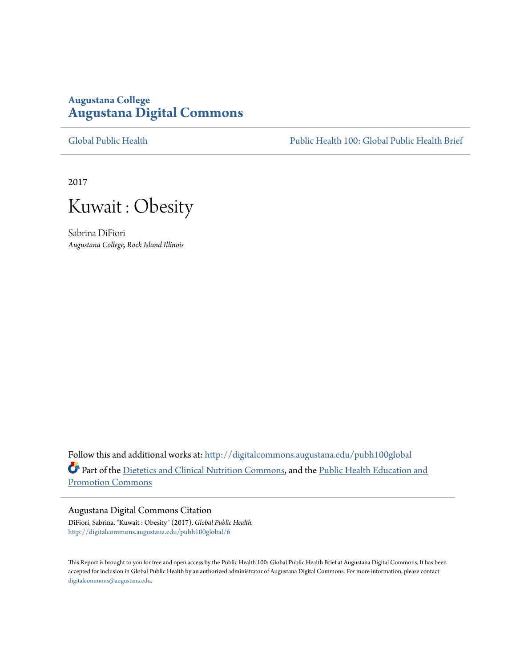### **Augustana College [Augustana Digital Commons](http://digitalcommons.augustana.edu?utm_source=digitalcommons.augustana.edu%2Fpubh100global%2F6&utm_medium=PDF&utm_campaign=PDFCoverPages)**

[Global Public Health](http://digitalcommons.augustana.edu/pubh100global?utm_source=digitalcommons.augustana.edu%2Fpubh100global%2F6&utm_medium=PDF&utm_campaign=PDFCoverPages) [Public Health 100: Global Public Health Brief](http://digitalcommons.augustana.edu/pubh100?utm_source=digitalcommons.augustana.edu%2Fpubh100global%2F6&utm_medium=PDF&utm_campaign=PDFCoverPages)

2017



Sabrina DiFiori *Augustana College, Rock Island Illinois*

Follow this and additional works at: [http://digitalcommons.augustana.edu/pubh100global](http://digitalcommons.augustana.edu/pubh100global?utm_source=digitalcommons.augustana.edu%2Fpubh100global%2F6&utm_medium=PDF&utm_campaign=PDFCoverPages) Part of the [Dietetics and Clinical Nutrition Commons,](http://network.bepress.com/hgg/discipline/662?utm_source=digitalcommons.augustana.edu%2Fpubh100global%2F6&utm_medium=PDF&utm_campaign=PDFCoverPages) and the [Public Health Education and](http://network.bepress.com/hgg/discipline/743?utm_source=digitalcommons.augustana.edu%2Fpubh100global%2F6&utm_medium=PDF&utm_campaign=PDFCoverPages) [Promotion Commons](http://network.bepress.com/hgg/discipline/743?utm_source=digitalcommons.augustana.edu%2Fpubh100global%2F6&utm_medium=PDF&utm_campaign=PDFCoverPages)

#### Augustana Digital Commons Citation

DiFiori, Sabrina. "Kuwait : Obesity" (2017). *Global Public Health.* [http://digitalcommons.augustana.edu/pubh100global/6](http://digitalcommons.augustana.edu/pubh100global/6?utm_source=digitalcommons.augustana.edu%2Fpubh100global%2F6&utm_medium=PDF&utm_campaign=PDFCoverPages)

This Report is brought to you for free and open access by the Public Health 100: Global Public Health Brief at Augustana Digital Commons. It has been accepted for inclusion in Global Public Health by an authorized administrator of Augustana Digital Commons. For more information, please contact [digitalcommons@augustana.edu.](mailto:digitalcommons@augustana.edu)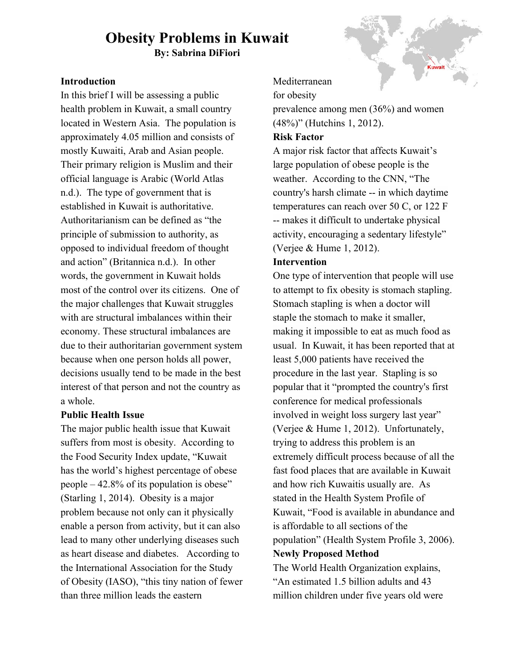# **Obesity Problems in Kuwait**

**By: Sabrina DiFiori**

#### **Introduction**

In this brief I will be assessing a public health problem in Kuwait, a small country located in Western Asia. The population is approximately 4.05 million and consists of mostly Kuwaiti, Arab and Asian people. Their primary religion is Muslim and their official language is Arabic (World Atlas n.d.). The type of government that is established in Kuwait is authoritative. Authoritarianism can be defined as "the principle of submission to authority, as opposed to individual freedom of thought and action" (Britannica n.d.). In other words, the government in Kuwait holds most of the control over its citizens. One of the major challenges that Kuwait struggles with are structural imbalances within their economy. These structural imbalances are due to their authoritarian government system because when one person holds all power, decisions usually tend to be made in the best interest of that person and not the country as a whole.

#### **Public Health Issue**

The major public health issue that Kuwait suffers from most is obesity. According to the Food Security Index update, "Kuwait has the world's highest percentage of obese people – 42.8% of its population is obese" (Starling 1, 2014). Obesity is a major problem because not only can it physically enable a person from activity, but it can also lead to many other underlying diseases such as heart disease and diabetes. According to the International Association for the Study of Obesity (IASO), "this tiny nation of fewer than three million leads the eastern



Mediterranean

for obesity

prevalence among men (36%) and women (48%)" (Hutchins 1, 2012).

#### **Risk Factor**

A major risk factor that affects Kuwait's large population of obese people is the weather. According to the CNN, "The country's harsh climate -- in which daytime temperatures can reach over 50 C, or 122 F -- makes it difficult to undertake physical activity, encouraging a sedentary lifestyle" (Verjee & Hume 1, 2012).

#### **Intervention**

One type of intervention that people will use to attempt to fix obesity is stomach stapling. Stomach stapling is when a doctor will staple the stomach to make it smaller, making it impossible to eat as much food as usual. In Kuwait, it has been reported that at least 5,000 patients have received the procedure in the last year. Stapling is so popular that it "prompted the country's [first](http://www.kuwaitobesity.com/) conference for medical [professionals](http://www.kuwaitobesity.com/) [involved](http://www.kuwaitobesity.com/) in weight loss surgery last year" (Verjee & Hume 1, 2012). Unfortunately, trying to address this problem is an extremely difficult process because of all the fast food places that are available in Kuwait and how rich Kuwaitis usually are. As stated in the Health System Profile of Kuwait, "Food is available in abundance and is affordable to all sections of the population" (Health System Profile 3, 2006). **Newly Proposed Method**

The World Health Organization explains, "An estimated 1.5 billion adults and 43 million children under five years old were